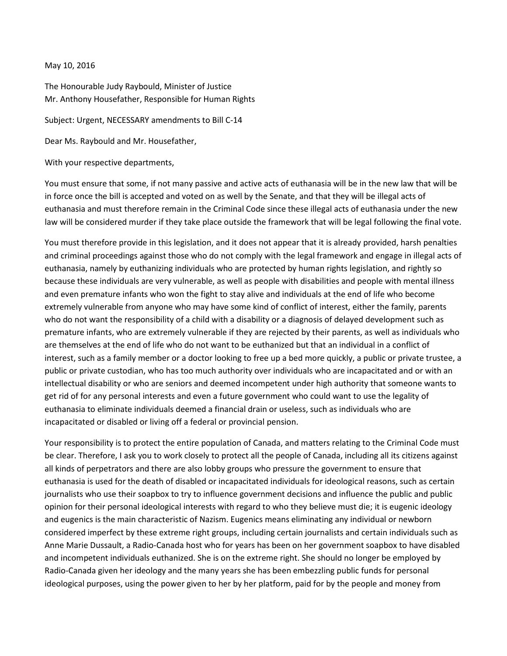## May 10, 2016

The Honourable Judy Raybould, Minister of Justice Mr. Anthony Housefather, Responsible for Human Rights

Subject: Urgent, NECESSARY amendments to Bill C-14

Dear Ms. Raybould and Mr. Housefather,

With your respective departments,

You must ensure that some, if not many passive and active acts of euthanasia will be in the new law that will be in force once the bill is accepted and voted on as well by the Senate, and that they will be illegal acts of euthanasia and must therefore remain in the Criminal Code since these illegal acts of euthanasia under the new law will be considered murder if they take place outside the framework that will be legal following the final vote.

You must therefore provide in this legislation, and it does not appear that it is already provided, harsh penalties and criminal proceedings against those who do not comply with the legal framework and engage in illegal acts of euthanasia, namely by euthanizing individuals who are protected by human rights legislation, and rightly so because these individuals are very vulnerable, as well as people with disabilities and people with mental illness and even premature infants who won the fight to stay alive and individuals at the end of life who become extremely vulnerable from anyone who may have some kind of conflict of interest, either the family, parents who do not want the responsibility of a child with a disability or a diagnosis of delayed development such as premature infants, who are extremely vulnerable if they are rejected by their parents, as well as individuals who are themselves at the end of life who do not want to be euthanized but that an individual in a conflict of interest, such as a family member or a doctor looking to free up a bed more quickly, a public or private trustee, a public or private custodian, who has too much authority over individuals who are incapacitated and or with an intellectual disability or who are seniors and deemed incompetent under high authority that someone wants to get rid of for any personal interests and even a future government who could want to use the legality of euthanasia to eliminate individuals deemed a financial drain or useless, such as individuals who are incapacitated or disabled or living off a federal or provincial pension.

Your responsibility is to protect the entire population of Canada, and matters relating to the Criminal Code must be clear. Therefore, I ask you to work closely to protect all the people of Canada, including all its citizens against all kinds of perpetrators and there are also lobby groups who pressure the government to ensure that euthanasia is used for the death of disabled or incapacitated individuals for ideological reasons, such as certain journalists who use their soapbox to try to influence government decisions and influence the public and public opinion for their personal ideological interests with regard to who they believe must die; it is eugenic ideology and eugenics is the main characteristic of Nazism. Eugenics means eliminating any individual or newborn considered imperfect by these extreme right groups, including certain journalists and certain individuals such as Anne Marie Dussault, a Radio-Canada host who for years has been on her government soapbox to have disabled and incompetent individuals euthanized. She is on the extreme right. She should no longer be employed by Radio-Canada given her ideology and the many years she has been embezzling public funds for personal ideological purposes, using the power given to her by her platform, paid for by the people and money from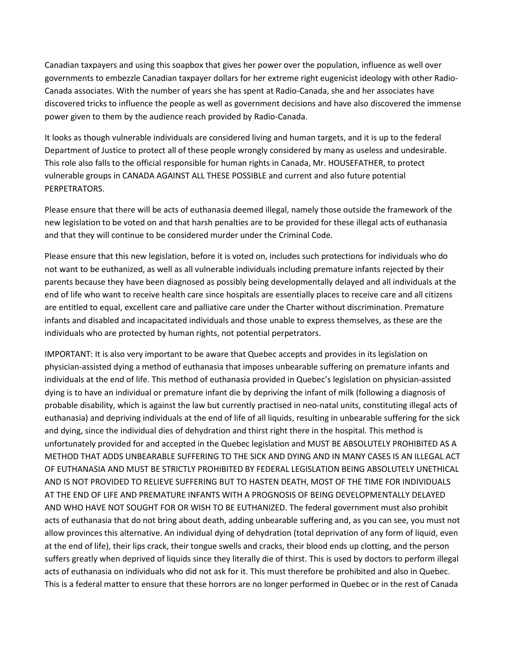Canadian taxpayers and using this soapbox that gives her power over the population, influence as well over governments to embezzle Canadian taxpayer dollars for her extreme right eugenicist ideology with other Radio-Canada associates. With the number of years she has spent at Radio-Canada, she and her associates have discovered tricks to influence the people as well as government decisions and have also discovered the immense power given to them by the audience reach provided by Radio-Canada.

It looks as though vulnerable individuals are considered living and human targets, and it is up to the federal Department of Justice to protect all of these people wrongly considered by many as useless and undesirable. This role also falls to the official responsible for human rights in Canada, Mr. HOUSEFATHER, to protect vulnerable groups in CANADA AGAINST ALL THESE POSSIBLE and current and also future potential PERPETRATORS.

Please ensure that there will be acts of euthanasia deemed illegal, namely those outside the framework of the new legislation to be voted on and that harsh penalties are to be provided for these illegal acts of euthanasia and that they will continue to be considered murder under the Criminal Code.

Please ensure that this new legislation, before it is voted on, includes such protections for individuals who do not want to be euthanized, as well as all vulnerable individuals including premature infants rejected by their parents because they have been diagnosed as possibly being developmentally delayed and all individuals at the end of life who want to receive health care since hospitals are essentially places to receive care and all citizens are entitled to equal, excellent care and palliative care under the Charter without discrimination. Premature infants and disabled and incapacitated individuals and those unable to express themselves, as these are the individuals who are protected by human rights, not potential perpetrators.

IMPORTANT: It is also very important to be aware that Quebec accepts and provides in its legislation on physician-assisted dying a method of euthanasia that imposes unbearable suffering on premature infants and individuals at the end of life. This method of euthanasia provided in Quebec's legislation on physician-assisted dying is to have an individual or premature infant die by depriving the infant of milk (following a diagnosis of probable disability, which is against the law but currently practised in neo-natal units, constituting illegal acts of euthanasia) and depriving individuals at the end of life of all liquids, resulting in unbearable suffering for the sick and dying, since the individual dies of dehydration and thirst right there in the hospital. This method is unfortunately provided for and accepted in the Quebec legislation and MUST BE ABSOLUTELY PROHIBITED AS A METHOD THAT ADDS UNBEARABLE SUFFERING TO THE SICK AND DYING AND IN MANY CASES IS AN ILLEGAL ACT OF EUTHANASIA AND MUST BE STRICTLY PROHIBITED BY FEDERAL LEGISLATION BEING ABSOLUTELY UNETHICAL AND IS NOT PROVIDED TO RELIEVE SUFFERING BUT TO HASTEN DEATH, MOST OF THE TIME FOR INDIVIDUALS AT THE END OF LIFE AND PREMATURE INFANTS WITH A PROGNOSIS OF BEING DEVELOPMENTALLY DELAYED AND WHO HAVE NOT SOUGHT FOR OR WISH TO BE EUTHANIZED. The federal government must also prohibit acts of euthanasia that do not bring about death, adding unbearable suffering and, as you can see, you must not allow provinces this alternative. An individual dying of dehydration (total deprivation of any form of liquid, even at the end of life), their lips crack, their tongue swells and cracks, their blood ends up clotting, and the person suffers greatly when deprived of liquids since they literally die of thirst. This is used by doctors to perform illegal acts of euthanasia on individuals who did not ask for it. This must therefore be prohibited and also in Quebec. This is a federal matter to ensure that these horrors are no longer performed in Quebec or in the rest of Canada